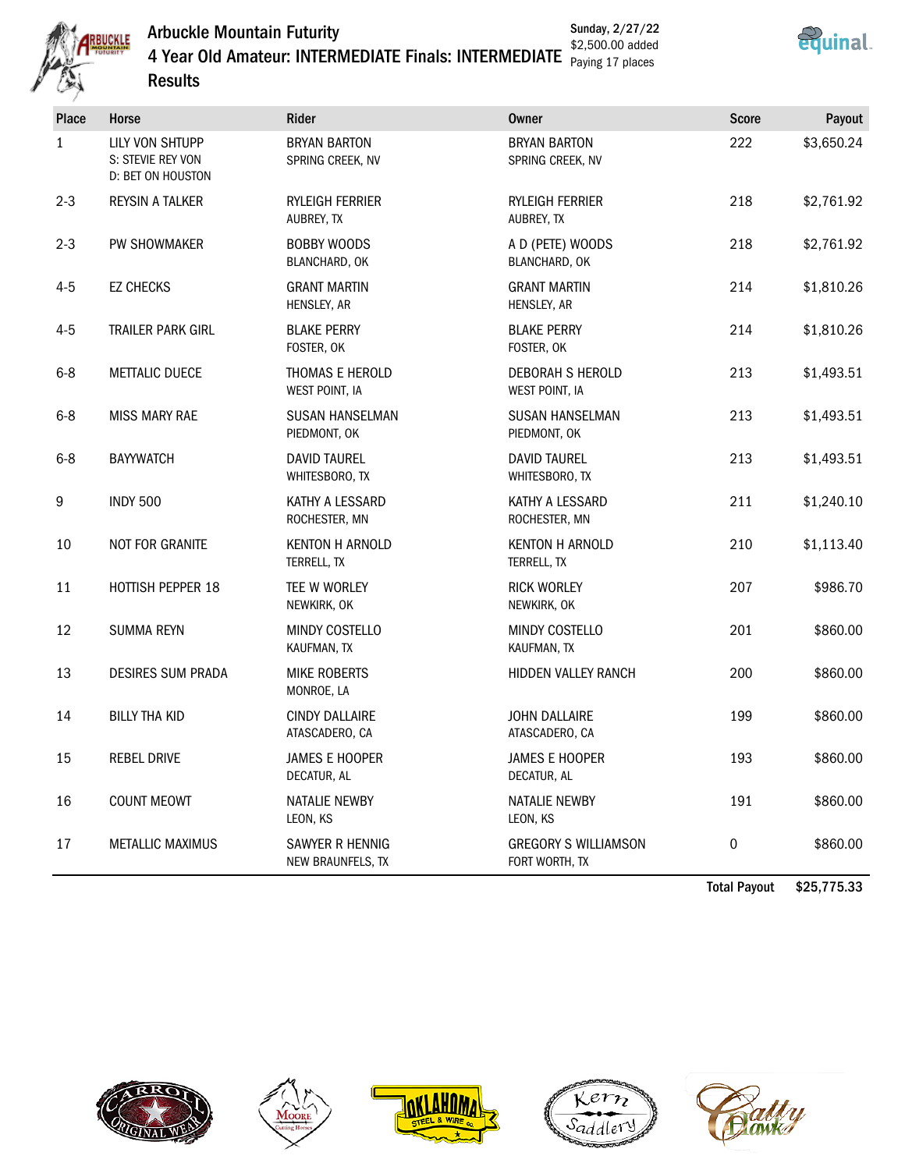Arbuckle Mountain Futurity





4 Year Old Amateur: INTERMEDIATE Finals: INTERMEDIATE \$2,500.00 added **Results** Paying 17 places

| Place   | Horse                                                     | Rider                                      | Owner                                         | <b>Score</b> | Payout     |
|---------|-----------------------------------------------------------|--------------------------------------------|-----------------------------------------------|--------------|------------|
| 1       | LILY VON SHTUPP<br>S: STEVIE REY VON<br>D: BET ON HOUSTON | <b>BRYAN BARTON</b><br>SPRING CREEK, NV    | <b>BRYAN BARTON</b><br>SPRING CREEK, NV       | 222          | \$3,650.24 |
| $2 - 3$ | <b>REYSIN A TALKER</b>                                    | <b>RYLEIGH FERRIER</b><br>AUBREY, TX       | <b>RYLEIGH FERRIER</b><br>AUBREY, TX          | 218          | \$2,761.92 |
| $2 - 3$ | PW SHOWMAKER                                              | <b>BOBBY WOODS</b><br><b>BLANCHARD, OK</b> | A D (PETE) WOODS<br>BLANCHARD, OK             | 218          | \$2,761.92 |
| $4 - 5$ | <b>EZ CHECKS</b>                                          | <b>GRANT MARTIN</b><br>HENSLEY, AR         | <b>GRANT MARTIN</b><br>HENSLEY, AR            | 214          | \$1,810.26 |
| $4 - 5$ | TRAILER PARK GIRL                                         | <b>BLAKE PERRY</b><br>FOSTER, OK           | <b>BLAKE PERRY</b><br>FOSTER, OK              | 214          | \$1,810.26 |
| $6 - 8$ | <b>METTALIC DUECE</b>                                     | THOMAS E HEROLD<br>WEST POINT, IA          | <b>DEBORAH S HEROLD</b><br>WEST POINT, IA     | 213          | \$1,493.51 |
| $6 - 8$ | <b>MISS MARY RAE</b>                                      | <b>SUSAN HANSELMAN</b><br>PIEDMONT, OK     | <b>SUSAN HANSELMAN</b><br>PIEDMONT, OK        | 213          | \$1,493.51 |
| $6 - 8$ | <b>BAYYWATCH</b>                                          | <b>DAVID TAUREL</b><br>WHITESBORO, TX      | <b>DAVID TAUREL</b><br>WHITESBORO, TX         | 213          | \$1,493.51 |
| 9       | <b>INDY 500</b>                                           | KATHY A LESSARD<br>ROCHESTER, MN           | KATHY A LESSARD<br>ROCHESTER, MN              | 211          | \$1,240.10 |
| 10      | NOT FOR GRANITE                                           | <b>KENTON H ARNOLD</b><br>TERRELL, TX      | <b>KENTON H ARNOLD</b><br>TERRELL, TX         | 210          | \$1,113.40 |
| 11      | HOTTISH PEPPER 18                                         | TEE W WORLEY<br>NEWKIRK, OK                | <b>RICK WORLEY</b><br>NEWKIRK, OK             | 207          | \$986.70   |
| 12      | <b>SUMMA REYN</b>                                         | MINDY COSTELLO<br>KAUFMAN, TX              | MINDY COSTELLO<br>KAUFMAN, TX                 | 201          | \$860.00   |
| 13      | <b>DESIRES SUM PRADA</b>                                  | <b>MIKE ROBERTS</b><br>MONROE, LA          | HIDDEN VALLEY RANCH                           | 200          | \$860.00   |
| 14      | <b>BILLY THA KID</b>                                      | <b>CINDY DALLAIRE</b><br>ATASCADERO, CA    | <b>JOHN DALLAIRE</b><br>ATASCADERO, CA        | 199          | \$860.00   |
| 15      | <b>REBEL DRIVE</b>                                        | <b>JAMES E HOOPER</b><br>DECATUR, AL       | <b>JAMES E HOOPER</b><br>DECATUR, AL          | 193          | \$860.00   |
| 16      | <b>COUNT MEOWT</b>                                        | <b>NATALIE NEWBY</b><br>LEON, KS           | NATALIE NEWBY<br>LEON, KS                     | 191          | \$860.00   |
| 17      | <b>METALLIC MAXIMUS</b>                                   | SAWYER R HENNIG<br>NEW BRAUNFELS, TX       | <b>GREGORY S WILLIAMSON</b><br>FORT WORTH, TX | 0            | \$860.00   |

Total Payout \$25,775.33









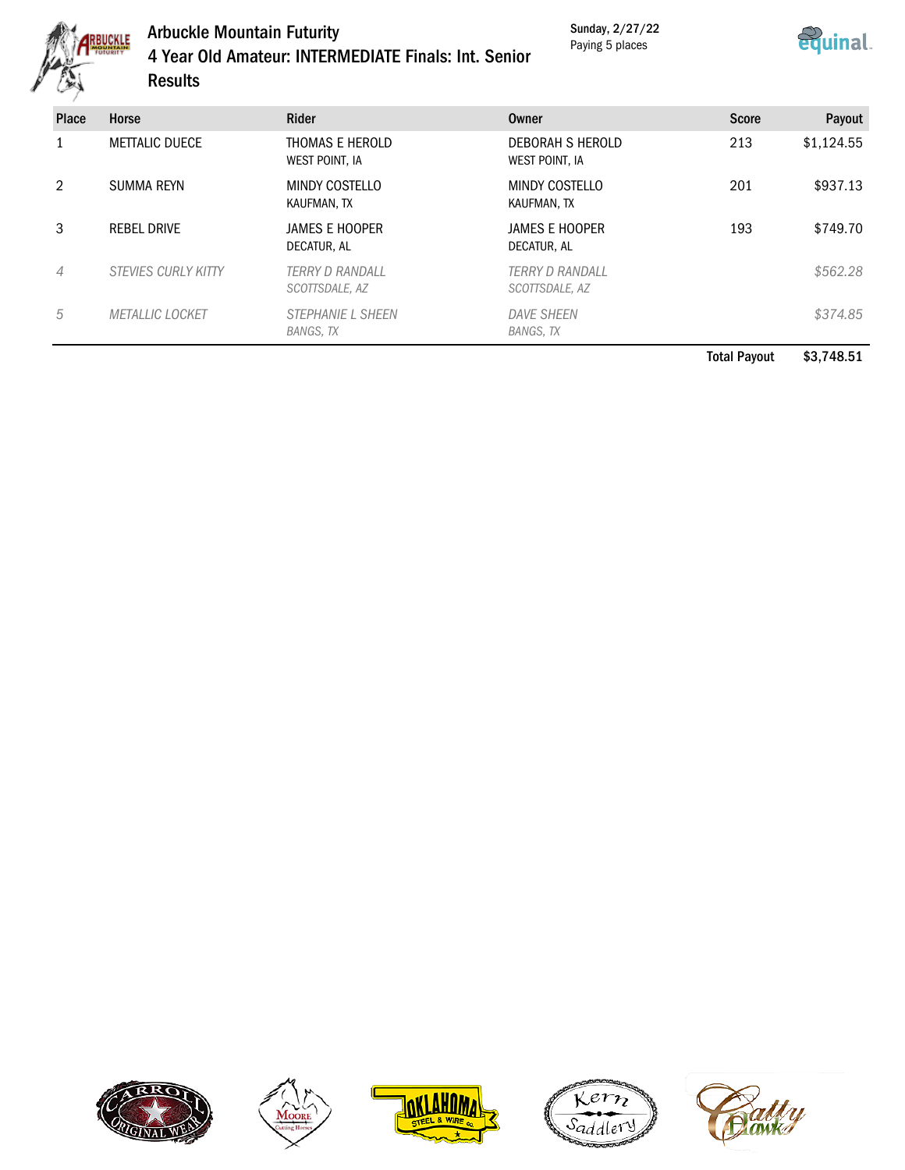

## Arbuckle Mountain Futurity 4 Year Old Amateur: INTERMEDIATE Finals: Int. Senior Results

Sunday, 2/27/22 Paying 5 places



| Place | Horse                      | <b>Rider</b>                             | Owner                                    | <b>Score</b> | Payout     |
|-------|----------------------------|------------------------------------------|------------------------------------------|--------------|------------|
|       | <b>METTALIC DUECE</b>      | THOMAS E HEROLD<br>WEST POINT, IA        | DEBORAH S HEROLD<br>WEST POINT, IA       | 213          | \$1,124.55 |
| 2     | <b>SUMMA REYN</b>          | MINDY COSTELLO<br>KAUFMAN, TX            | MINDY COSTELLO<br>KAUFMAN, TX            | 201          | \$937.13   |
| 3     | <b>REBEL DRIVE</b>         | JAMES E HOOPER<br>DECATUR, AL            | JAMES E HOOPER<br>DECATUR, AL            | 193          | \$749.70   |
| 4     | <b>STEVIES CURLY KITTY</b> | <b>TERRY D RANDALL</b><br>SCOTTSDALE, AZ | <b>TERRY D RANDALL</b><br>SCOTTSDALE, AZ |              | \$562.28   |
| 5     | <b>METALLIC LOCKET</b>     | <b>STEPHANIE L SHEEN</b><br>BANGS, TX    | <b>DAVE SHEEN</b><br>BANGS, TX           |              | \$374.85   |

Total Payout \$3,748.51









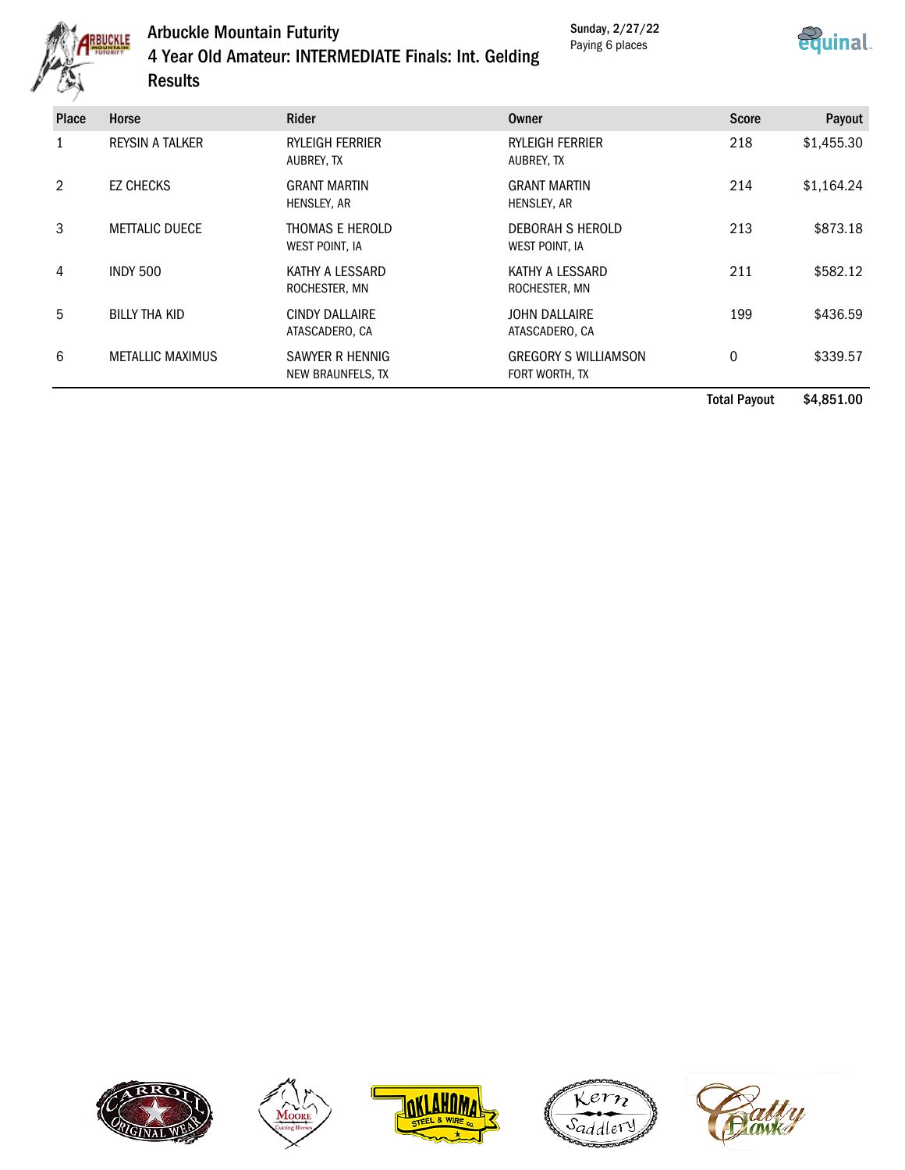

## Arbuckle Mountain Futurity 4 Year Old Amateur: INTERMEDIATE Finals: Int. Gelding Results

Sunday, 2/27/22 Paying 6 places



| <b>Place</b> | Horse                   | <b>Rider</b>                            | Owner                                         | <b>Score</b> | Payout     |
|--------------|-------------------------|-----------------------------------------|-----------------------------------------------|--------------|------------|
|              | <b>REYSIN A TALKER</b>  | <b>RYLEIGH FERRIER</b><br>AUBREY, TX    | <b>RYLEIGH FERRIER</b><br>AUBREY, TX          | 218          | \$1,455.30 |
| 2            | <b>EZ CHECKS</b>        | <b>GRANT MARTIN</b><br>HENSLEY, AR      | <b>GRANT MARTIN</b><br>HENSLEY, AR            | 214          | \$1,164.24 |
| 3            | <b>METTALIC DUECE</b>   | THOMAS E HEROLD<br>WEST POINT, IA       | DEBORAH S HEROLD<br>WEST POINT, IA            | 213          | \$873.18   |
| 4            | <b>INDY 500</b>         | KATHY A LESSARD<br>ROCHESTER, MN        | KATHY A LESSARD<br>ROCHESTER, MN              | 211          | \$582.12   |
| 5            | <b>BILLY THA KID</b>    | <b>CINDY DALLAIRE</b><br>ATASCADERO, CA | <b>JOHN DALLAIRE</b><br>ATASCADERO, CA        | 199          | \$436.59   |
| 6            | <b>METALLIC MAXIMUS</b> | SAWYER R HENNIG<br>NEW BRAUNFELS, TX    | <b>GREGORY S WILLIAMSON</b><br>FORT WORTH, TX | 0            | \$339.57   |

Total Payout \$4,851.00